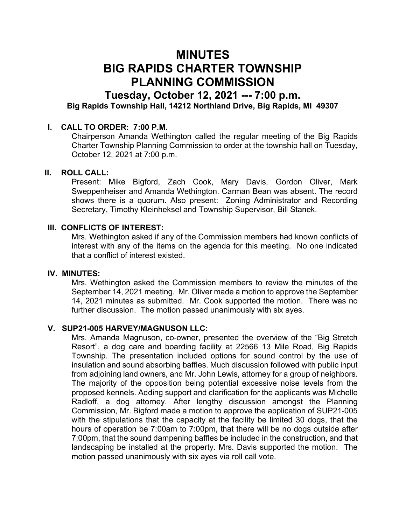# MINUTES BIG RAPIDS CHARTER TOWNSHIP PLANNING COMMISSION

# Tuesday, October 12, 2021 --- 7:00 p.m. Big Rapids Township Hall, 14212 Northland Drive, Big Rapids, MI 49307

## I. CALL TO ORDER: 7:00 P.M.

Chairperson Amanda Wethington called the regular meeting of the Big Rapids Charter Township Planning Commission to order at the township hall on Tuesday, October 12, 2021 at 7:00 p.m.

## II. ROLL CALL:

Present: Mike Bigford, Zach Cook, Mary Davis, Gordon Oliver, Mark Sweppenheiser and Amanda Wethington. Carman Bean was absent. The record shows there is a quorum. Also present: Zoning Administrator and Recording Secretary, Timothy Kleinheksel and Township Supervisor, Bill Stanek.

#### III. CONFLICTS OF INTEREST:

Mrs. Wethington asked if any of the Commission members had known conflicts of interest with any of the items on the agenda for this meeting. No one indicated that a conflict of interest existed.

#### IV. MINUTES:

Mrs. Wethington asked the Commission members to review the minutes of the September 14, 2021 meeting. Mr. Oliver made a motion to approve the September 14, 2021 minutes as submitted. Mr. Cook supported the motion. There was no further discussion. The motion passed unanimously with six ayes.

#### V. SUP21-005 HARVEY/MAGNUSON LLC:

Mrs. Amanda Magnuson, co-owner, presented the overview of the "Big Stretch Resort", a dog care and boarding facility at 22566 13 Mile Road, Big Rapids Township. The presentation included options for sound control by the use of insulation and sound absorbing baffles. Much discussion followed with public input from adjoining land owners, and Mr. John Lewis, attorney for a group of neighbors. The majority of the opposition being potential excessive noise levels from the proposed kennels. Adding support and clarification for the applicants was Michelle Radloff, a dog attorney. After lengthy discussion amongst the Planning Commission, Mr. Bigford made a motion to approve the application of SUP21-005 with the stipulations that the capacity at the facility be limited 30 dogs, that the hours of operation be 7:00am to 7:00pm, that there will be no dogs outside after 7:00pm, that the sound dampening baffles be included in the construction, and that landscaping be installed at the property. Mrs. Davis supported the motion. The motion passed unanimously with six ayes via roll call vote.